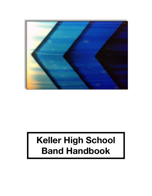

# **Keller High School Band Handbook**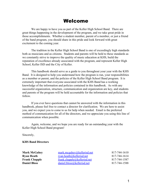# Welcome

We are happy to have you as part of the Keller High School Band. There are great things happening in the development of the program, and we take great pride in those accomplishments. Whether a student member, parent of a member, or just a friend of the band program, you should share in this pride and look forward with great excitement to the coming year.

The tradition in the Keller High School Band is one of exceedingly high standards both as musicians and as citizens. Students and parents will be held to these standards as we constantly strive to improve the quality of music education at KHS, build the reputation of excellence already associated with the program, and represent Keller High School, Keller ISD and the City of Keller.

This handbook should serve as a guide to you throughout your year with the KHS Band. It is designed to help you understand how the program is run, your responsibilities as a member or parent, and the policies of the Keller High School Band program. It is extremely important that everyone associated with the KHS Band has a working knowledge of the information and policies contained in this handbook. As with any successful organization, structure, communication and organization are key, and students and parents of the program will be held accountable for the information and policies that follow.

If you ever have questions that cannot be answered with the information in this handbook, please feel free to contact a director for clarification. We are here to assist you, and we expect you to come to us for help when needed. Email is the preferred method of communication for all of the directors, and we appreciate you using this line of communication when possible.

Again, welcome, and we hope you are ready for an outstanding year with the Keller High School Band program!

Sincerely,

#### **KHS Band Directors**

| mark.mcgahey@kellerisd.net      | 817-744-1610 |
|---------------------------------|--------------|
| <u>ryan.heath@kellerisd.net</u> | 817-744-1614 |
| frank.chapple@kellerisd.net     | 817-744-1587 |
| daniel.bloss@kellerisd.net      | 817-744-1588 |
|                                 |              |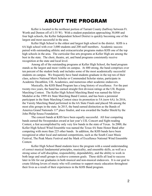# ABOUT THE PROGRAM

Keller is located in the northeast portion of Tarrant County (halfway between Ft. Worth and Denton off of I-35 W). With a student population approaching 30,000 and four high schools, the Keller Independent School District is quickly becoming one of the largest and most successful in the area.

Keller High School is the oldest and largest high school in the district. KHS is a 6A high school with over 3,000 students and 200 staff members. Academic success paired with outstanding athletic and extracurricular programs makes KHS one of the top high schools in the area. The curricular fine arts programs at Keller High are among the best in the state. The choir, theatre, art, and band programs consistently receive recognition at the state and local level.

Among all of the outstanding programs at Keller High School, the band program stands as the largest and most visible on campus. At 400 strong, the band comprises over ten percent of the student body and includes some of the most academically successful students on campus. We frequently have band students graduate in the top ten of their class, achieve National Merit Scholar or Commended Scholar status, participate in Academic Decathlon, UIL Academics, and numerous other academic endeavors.

Musically, the KHS Band Program has a long history of excellence. For the past twenty-two years, the band has earned straight first division ratings at the UIL Region Marching Contest. The Keller High School Marching Band was named the Silver Medalist at the 1999 4A State Marching Band Contest, and has been a perennial participant in the State Marching Contest since its promotion to 5A (now 6A). In 2016, the Varsity Marching Band performed in the 6A State Finals and placed 5th among the most elite groups in the state. In 2015, the band earned distinction as the Bands of America Grand Nationals 11<sup>th</sup> place finalist, and was awarded the Sudler Shield by the John Philip Sousa Foundation.

The concert bands at KHS have been equally successful. All four competing bands earned the Sweepstakes award at last year's UIL Concert and Sight-reading Contest, a feat accomplished by only very few bands in the state of Texas. In 2000, the Keller High School Wind Ensemble was named the Texas 4A State Honor Band after competing with more than 225 other bands. In addition, the KHS bands have been recognized at other local and national competitions, such as the South Coast Music Festival, The Peak Music Festival and the Mark of Excellence National Wind Ensemble Contest.

Keller High School Band students leave the program with a sound understanding of correct musical fundamental principles, musicality, and ensemble skills, as well as a strong sense of self-discipline, responsibility, dependability, and the ability to work in both large and small groups to achieve common goals. These skills all lead to success later in life for our graduates in both musical and non-musical endeavors. It is our goal to create lifelong lovers of music who will continue to support music education throughout their lives as a result of their experiences in the KHS Band program.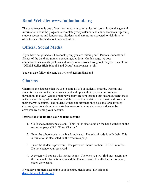### **Band Website: www.indianband.org**

The band website is one of our most important communication tools. It contains general information about the program, a complete yearly calendar and announcements regarding student successes and fundraisers. Students and parents are expected to visit this site often to stay informed about band activities.

### **Official Social Media**

If you have not joined our Facebook group you are missing out! Parents, students and friends of the band program are encouraged to join. On this page, we post announcements, events, pictures and videos of our work throughout the year. Search for "Official Keller High School Band Group" and request to join.

You can also follow the band on twitter @KHSIndianBand

### **Charms**

Charms is the database that we use to store all of our students' records. Parents and students may access their charms account and update their personal information throughout the year. Group email newsletters are sent through this database, therefore it is the responsibility of the student and the parent to maintain active email addresses in their charms accounts. The student's financial information is also available through charms. Questions about what a student owes or how much money is due can be answered by visiting your account.

#### **Instructions for finding your charms account**

- 1. Go to www.charmsmusic.com. This link is also found on the band website on the resources page. Click "Enter Charms."
- 2. Enter the school code in the blank indicated. The school code is kellerhsb. This information is also listed on the resources page.
- 3. Enter the student's password. The password should be their KISD ID number. Do not change your password.
- 4. A screen will pop up with various icons. The ones you will find most useful are the Personal Information icon and the Finances icon. For all other information, check the website.

If you have problems accessing your account, please email Mr. Bloss at [daniel.bloss@kellerisd.net](mailto:daniel.bloss@kellerisd.net)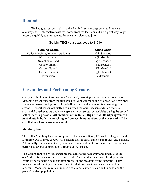### **Remind**

We had great success utilizing the Remind text message service. These are one-way short, informative texts that come from the teachers and are a great way to get messages quickly to the students. Parents are welcome to join.

| <b>Remind Group</b>                 | <b>Class Code</b> |
|-------------------------------------|-------------------|
| Keller Marching Band (all students) | @indianband       |
| Wind Ensemble                       | @khsbandwe        |
| Symphonic Band                      | @khsbandsb        |
| Concert Band 1                      | @khsbandc1        |
| Concert Band 2                      | @khsbandc2        |
| Concert Band 3                      | @khsbandc3        |
| Percussion                          | @khsperc          |

(To join, TEXT your class code to 81010)

### **Ensembles and Performing Groups**

Our year is broken up into two main "seasons", marching season and concert season. Marching season runs from the first week of August through the first week of November and encompasses the high school football season and the competitive marching band season. Concert season officially begins when marching season ends, but there is substantial overlap as we begin to prepare for concert season activities during the second half of marching season. **All members of the Keller High School Band program will participate in both the marching and concert band portions of the year and will be enrolled in a band class year round.**

#### **Marching Band**

The Keller Marching Band is composed of the Varsity Band, JV Band, Colorguard, and Drumline. All of these groups will perform at all football games, pep rallies, and parades. Additionally, the Varsity Band (including members of the Colorguard and Drumline) will perform at several competitions throughout the season.

The **Colorguard** is a visual ensemble that adds to the pageantry and dynamic of the on-field performance of the marching band. These students earn membership in this group by participating in an audition process in the previous spring semester. They receive special training to develop the skills that they use to enhance the marching program. Membership in this group is open to both students enrolled in band and the general student population.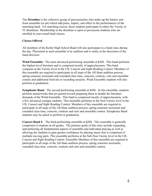The **Drumline** is the collective group of percussionists who make-up the battery and front ensemble (or pit) which add pulse, impact, and effect to the performances of the marching band. For marching season, these students participate in either the Varsity or JV drumlines. Membership in the drumline is open to percussion students who are enrolled in year-round band classes.

#### **Classes Offered**

All members of the Keller High School Band will also participate in a band class during the day. Placement in each ensemble is by audition and is solely at the discretion of the band directors.

**Wind Ensemble:** The most advanced performing ensemble at KHS. This band performs the highest level literature and is comprised mostly of upperclassmen. This band competes at the Varsity level in the UIL Concert and Sight Reading Contest. Members of this ensemble are required to participate in all steps of the All-State audition process, spring semester sectionals and extended class time, concerts, contests, solo and ensemble contest and additional festivals or recording sessions. Wind Ensemble students will also perform at graduation.

**Symphonic Band**: The second performing ensemble at KHS. In this ensemble, students perform masterworks that are geared toward preparing them to handle the literature demands of the Wind Ensemble. This band is comprised mostly of upperclassmen, with a few advanced younger students. This ensemble performs at the Non-Varsity level in the UIL Concert and Sight Reading Contest. Members of this ensemble are required to participate in all steps of the All-State audition process, spring semester sectionals and extended class time, concerts, contests and solo and ensemble contest. Symphonic Band students may be asked to perform at graduation.

**Concert Band I:**  The third performing ensemble at KHS. This ensemble is generally comprised of students in all grades. The primary goals of this class include expanding and perfecting all fundamental aspects of ensemble and individual playing as well as allowing the students to gain greater confidence by playing music that is comprised of multiple moving parts. This ensemble performs at the Sub-Non-Varsity level in the UIL Concert and Sight Reading Contest. Ensemble Members of this ensemble are required to participate in all steps of the All-State audition process, spring semester sectionals, extended class time, concerts, contests and solo and ensemble contest.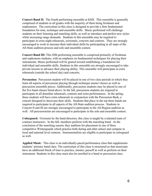**Concert Band II:** The fourth performing ensemble at KHS. This ensemble is generally comprised of students in all grades with the majority of them being freshmen and sophomores. The curriculum in this class is designed to provide a firm fundamental foundation for tone, technique and ensemble skills. Music performed will challenge students on their listening and matching skills, as well as introduce and perfect new styles while increasing range demands. Students in this ensemble may be required to participate in extra night rehearsals, sectionals, concerts and contests. They are strongly encouraged to work to increase their individual skills by participating in all steps of the All-State audition process and solo and ensemble contest.

**Concert Band III:** This fifth performing ensemble is comprised primarily of freshman and sophomore students, with an emphasis on fundamental techniques for playing their instruments. Music performed will be geared toward establishing a foundation for individual and ensemble skills. Students in this ensemble are strongly encouraged to take private lessons to advance their playing ability. This ensemble will participate in extra rehearsals (outside the school day) and concerts.

**Percussion:** Percussion student will be placed in one of two class periods in which they learn all aspects of percussion playing through technique master classes as well as percussion ensemble pieces. Additionally, percussion students may be placed in one of the five band classes listed above. In the fall, percussion students are required to participate in all drumline rehearsals, contests and extra performances. In the spring, these students will have extra rehearsals in conjunction with the Percussion Bash, a concert designed to showcase their skills. Students that place in the top three bands are required to participate in all aspects of the All-State audition process. Students in Concert II and III are strongly encouraged to participate in the All-Region audition as well. All percussionists are encouraged to participate in the solo and ensemble contest.

**Colorguard:** Overseen by the band directors, this class is taught by a talented team of contract instructors. In the fall, members perform with the marching band. At the conclusion of the marching season, they audition for placement in one of three competitive Winterguards which practice both during and after school and compete in local and national level contests. Instrumentalists are eligible to participate in colorguard as well.

**Applied Music**: This class is an individually-paced performance class that supplements students' primary band class. The curriculum of this class is structured so that musicians have an additional block of time to practice, mentor, passoff as well as perform on their instrument. Students in this class must also be enrolled in a band or percussion class.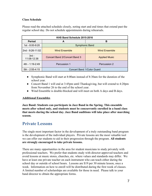#### **Class Schedule**

Please read the attached schedule closely, noting start and end times that extend past the regular school day. Do not schedule appointments during rehearsals.

| KHS Band Schedule 2015-2016 |                               |                      |  |
|-----------------------------|-------------------------------|----------------------|--|
| <b>Period</b>               | A                             | в                    |  |
| 1st - 8:00-9:20             | <b>Symphonic Band</b>         |                      |  |
| 2nd - 9:26-11:02            | <b>Wind Ensemble</b>          | <b>Wind Ensemble</b> |  |
| $3rd -$<br>11:08-12:38      | Concert Band 2/Concert Band 3 | <b>Applied Music</b> |  |
| 4th - 1:19-2:49             | Percussion 1                  | Percussion 2         |  |
| $5th - 2:55 - 4:15$         | Concert Band 1/Color Guard    |                      |  |

- Symphonic Band will start at 8:00am instead of 8:30am for the duration of the school year.
- Concert Band 1 will end at 3:45pm until Thanksgiving, but will extend to 4:20pm from November 26 to the end of the school year.
- Wind Ensemble is double-blocked and will meet on both A days and B days.

#### **Additional Ensembles**

**Jazz Band: Students can participate in Jazz Band in the Spring. This ensemble meets after school only, and students must be concurrently enrolled in a band class that meets during the school day. Jazz Band auditions will take place after marching season.**

### **Private Lessons**

The single most important factor in the development of a truly outstanding band program is the development of the individual players. Private lessons are the most valuable tool we can offer our students to aid in their progression through the program. **All students are strongly encouraged to take private lessons.**

There are many opportunities in the area for student musicians to study privately with professional teachers. We prefer that students study with director-approved teachers and avoid lessons at music stores, churches, etc. where values and standards may differ. We have at least one private teacher on each instrument who can teach either during the school day or outside of school hours. Lessons are \$19 per 30 minute lesson, once a week. Information on how to enroll will be distributed during the first week of classes. A limited number of scholarships are available for those in need. Please talk to your band director to obtain the appropriate forms.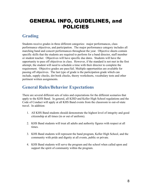# GENERAL INFO, GUIDELINES, and POLICIES

### **Grading**

Students receive grades in three different categories: major performances, class performance objectives, and participation. The major performance category includes all marching band and concert performances throughout the year. Objective sheets contain specific skills that the students are required to perform for a band director, staff member or student teacher. Objectives will have specific due dates. Students will have the opportunity to pass off objectives in class. However, if the standard is not met in the first attempt, the student will need to schedule a time with their director to complete the requirement. Objective grades are pass/fail. Multiple opportunities are available for passing off objectives. The last type of grade is the participation grade which can include, supply checks, dot book checks, theory worksheets, vocabulary tests and other pertinent written assignments.

### **General Rules/Behavior Expectations**

There are several different sets of rules and expectations for the different scenarios that apply to the KHS Band. In general, all KISD and Keller High School regulations and the Code of Conduct will apply at all KHS Band events from the classroom to out-of-state travel. In addition:

- 1. All KHS Band students should demonstrate the highest level of integrity and good citizenship at all times (in or out of uniform).
- 2. KHS Band students will treat all adults and authority figures with respect at all times.
- 3. KHS Band students will represent the band program, Keller High School, and the community with pride and dignity at all events, public or private.
- 4. KHS Band students will serve the program and the school when called upon and support the spirit of community within the program.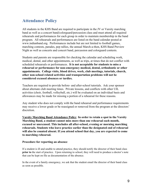### **Attendance Policy**

All students in the KHS Band are required to participate in the JV or Varsity marching band as well as a concert band/colorguard/percussion class and must attend all required rehearsals and performances for each group in order to maintain membership in the band program. All rehearsals and performances are listed on the band calendar posted at [www.indianband.org](http://www.indianband.org/). Performances include but are not limited to football games, marching contests, parades, pep rallies, the annual March-a-thon, KHS Band Preview Night as well as concerts and concert band, percussion and colorguard contests.

Students and parents are responsible for checking the calendar and scheduling work, medical, dental, and other appointments, as well as trips, at times that do not conflict with scheduled rehearsals or performances. **It is not acceptable for students to miss a rehearsal or performance for non-emergency medical, dental, orthodontic or other appointments. College visits, blood drives, work, club meetings, tutorials, church, other non-school related activities and transportation problems will not be considered excused absences or tardies.**

Teachers are required to provide before- and after-school tutorials. Ask your sponsor about alternate club meeting times. Private lessons, and conflicts with other UIL activities (choir, football, volleyball, etc.) will be evaluated on an individual basis and allowances may be made for missing a portion of a rehearsal for these reasons.

Any student who does not comply with the band rehearsal and performance requirements may receive a lower grade or be reassigned or removed from the program at the directors' discretion.

**Varsity Marching Band Attendance Policy**: **In order to retain a spot in the Varsity Marching Band, a student cannot miss more than one rehearsal each month, excused or unexcused. This includes all after-school, evening or morning marching rehearsals. Students who leave practice earlier than the designated end of rehearsal will also be counted absent. If you attend school that day, you are expected to come to marching rehearsal.**

#### **Procedure for reporting an absence**

If a student is ill and unable to attend practice, they should notify the director of their band class **prior to** the start of practice. Upon returning to school, they will need to produce a doctor's note that can be kept on file as documentation of the absence.

In the event of a family emergency, we ask that the student email the director of their band class as soon as possible.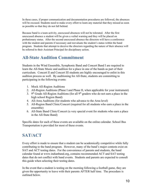In these cases, if proper communication and documentation procedures are followed, the absences will be excused. Students need to make every effort to learn any material that they missed as soon as possible so that they do not fall behind.

Because band is a team activity, unexcused absences will not be tolerated. After the first unexcused absence a student will be given a verbal warning and they will be placed on probationary status. After the second unexcused absence the directors will have a conference with the student and parents if necessary and reevaluate the student's status within the band program. Students that attempt to deceive the directors regarding the nature of their absence will be referred to their Assistant Principal for disciplinary action.

# **All-State Audition Commitment**

Students in the Wind Ensemble, Symphonic Band and Concert Band I are required to learn the All-State Music and audition for a place in one of the bands as part of their curriculum. Concert II and Concert III students are highly encouraged to enlist in this audition process as well. By auditioning for All-State, students are committing to participating in the following events:

- 1. Mock All-Region Auditions
- 2. All-Region Auditions (Phase I and Phase II, when applicable for your instrument)
- 3.  $9<sup>th</sup>$  Grade All-Region Auditions (for all  $9<sup>th</sup>$  graders who do not earn a place in the high school Region Band)
- 4. All-Area Auditions (for students who advance to the Area level)
- 5. All-Region Band Clinic/Concert (required for all students who earn a place in the ensemble)
- 6. All-State Band Clinic/Concert (a very special event for students who earn a place in the All-State Band)

Specific dates for each of these events are available on the online calendar. School Bus Transportation is provided for most of these events.

# **SAT/ACT**

Every effort is made to ensure that a student can be academically competitive while fully contributing to the band program. However, many of the band's major contests exist on SAT and ACT testing dates. For the convenience of parents and students, the band calendar found at www.indianband.org, contains recommended ACT and SAT testing dates that do not conflict with band events. Students and parents are expected to consult this guide when selecting their testing dates.

In the event that a student is testing on the morning following a football game, they are given the opportunity to leave with their parents AFTER half time. The procedure is outlined below.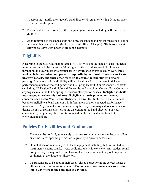- 1. A parent must notify the student's band director via email or writing 24 hours prior to the start of the game.
- 2. The student will perform all of their regular game duties, including half time in its entirety.
- 3. Upon returning to the stands after half time, the student and parent must check out in person with a band director (McGahey, Heath, Bloss, Chapple). **Students are not allowed to leave with another student's parents.**

# **Eligibility**

According to the UIL rules that govern all UIL activities in the state of Texas, students must be passing all classes with a 70 or higher at the UIL designated checkpoints throughout the year in order to participate in performance events (usually every three weeks). **It is the student and parent's responsibility to consult Home Access Center, progress reports, and their other teachers to ensure that the student remains passing.** Students that lose eligibility will not be allowed to participate in ticketed performances (such as football games and the Spring Benefit Dinner/Concert), contests (including All-Region Band, Solo and Ensemble, and Marching/Concert Band Contests), any trips taken in the fall or spring, or various other performances. **Ineligible students must attend all rehearsals and are still eligible to participate in non-ticketed concerts, such as the Winter and Midwinter Concerts.**  In the event that a student becomes ineligible, a band director will inform them of their expected performance involvement. Any student who becomes ineligible may be reassigned to another class during the fall or spring semesters at the discretion of the band director. For your convenience, the grading checkpoints are noted on the band calendar found at www.indianband.org.

### **Policies for Facilities and Equipment**

- 1. There is to be no food, gum, candy, or drinks (other than water) in the bandhall at any time unless specific permission is given by a director or teacher.
- 2. Do not abuse or misuse any KHS Band equipment including, but not limited to: instruments, chairs, stands, risers, podiums, tuners, lockers, etc. Any student found doing so may be required to purchase replacement equipment or pay to repair the equipment at the directors' discretion.
- 3. Instruments are to be kept in their cases (closed correctly) in the correct locker at all times when not in use or at home. **Do not leave instruments or cases sitting out in anywhere in the band hall at any time.**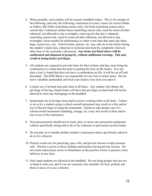- 4. When possible, each student will be issued a bandhall locker. This is for storage of the following, and only the following: instrument (in case), music (in correct binder or folder), flip folder (marching season only), dot book (marching season only), current day's rehearsal clothes/shoes (marching season only, must be removed after rehearsal, not allowed to stay overnight), water jug for that day's rehearsal (marching season only, must be removed after rehearsal, not allowed to stay overnight), items needed for performance or other event later that same day (blue bags, concert tux, etc). School books, jackets, etc. may only be in the locker during the student's band class, rehearsal or sectional and must be completely removed after class or the sectional is dismissed. **Any items not listed above will be confiscated and disposed of properly, without additional warning. This may result in losing locker privileges.**
- 5. All students are required to provide locks for their lockers and they must bring the combination to a band director prior to putting the lock on the locker. If at any time a lock is found that does not have a combination on file, it will be cut off and discarded. The KHS Band is not responsible for any lost or stolen items. Do not leave valuables unattended, and lock your locker every time you open it.
- 6. Lockers are to be kept neat and clean at all times. Any student who abuses the privilege of having a band locker will have that privilege revoked and will not be allowed to store any belongings in the bandhall.
- 7. Instruments are to be kept clean and in correct working order at all times. Failure to do so by a student using a school-owned instrument may result in a fine and/or loss of the privilege of using the instrument. Failure to take proper care of a school-owned instrument (handling, storage, etc.) may also result in fines and/or loss of use of the instrument.
- 8. Non-percussionists should never touch, play, or move any percussion equipment without specifically being told to do so by a director or percussion section leader.
- 9. Do not play on or handle another student's instrument unless specifically asked to do so by a director.
- 10. Practice rooms are for practicing, pass–offs, and private lessons or help sessions only. Priority is given to those students and teachers having private lessons. Do not create unnecessary noise or disturbance in the practice rooms or practice room hallways at any time.
- 11. Only band students are allowed in the bandhall. Do not bring people who are not in band in with you, and if you see someone who shouldn't be here, politely ask them to leave or to see a director.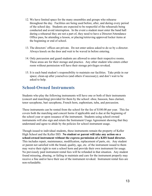- 12. We have limited space for the many ensembles and groups who rehearse throughout the day. Facilities are being used before, after, and during every period of the school day. Students are expected to be respectful of the rehearsals being conducted and avoid interruption. In the event a student must enter the band hall during a rehearsal they are not a part of, they need to have a Director/Attendance Office pass, be attending a lesson, or placing/retrieving approved locker items at the beginning or end of school.
- 13. The directors' offices are private. Do not enter unless asked to do so by a director. Always knock on the door and wait to be waved in before entering.
- 14. Only percussion and guard students are allowed to enter their respective rooms. These areas are for their storage and practice. Any other student who enters either room without permission will have their storage privileges revoked.
- 15. It is each band student's responsibility to maintain our facilities. Take pride in our space; clean-up after yourselves (and others if necessary); and don't wait to be asked to help.

### **School-Owned Instruments**

Students who play the following instruments will have one or both of their instruments (concert and marching) provided for them by the school: oboe, bassoon, bass clarinet, tenor saxophone, bari saxophone, French horn, euphonium, tuba, and percussion.

These instruments can be rented from the school for the fee of \$100.00 per year. This fee covers both the marching and concert horns if applicable and is due at the beginning of the school year or upon issuance of the instrument. Students using school-owned instruments will also sign and return the Instrument Usage Agreement showing that they understand and agree to abide by the policies for school instrument usage.

Though issued to individual students, these instruments remain the property of Keller High School and the Keller ISD. **No student or parent will take any action on a school-owned instrument without the express permission of a KHS band director.** This includes repair, maintenance, modification, replacement of parts, etc. Any student or parent not satisfied with the brand, quality, age, etc. of the instrument issued to them may waive their right to rent a school horn and provide their own instrument for usage. No previously paid instrument rental fees will be refunded in that situation. Any student found misusing, abusing, or failing to maintain and care for the instrument properly may receive a fine and/or have their use of the instrument revoked. Instrument rental fees are non-refundable.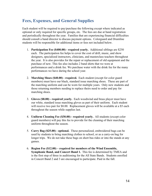### **Fees, Expenses, and General Supplies**

Each student will be required to pay/purchase the following except where indicated as optional or only required for specific groups, etc. The fees are due at band registration and periodically throughout the year. Families that are experiencing financial difficulties should consult a band director to discuss payment options. Colorguard and Drumline students will be responsible for additional items or fees not included below.

- 1. **Participation Fee (\$400.00) required yearly.** Additional siblings are \$250 each. The participation fee helps to cover the cost of drill, music, and show designers, specialized instructors, clinicians, and masterclass teachers throughout the year. It is also provides for the repair or replacement of old equipment and the purchase of new. This fee also includes 2 band shirts that we were at performances and a drink fee. We purchase water with the drink fee for the many performances we have during the school year.
- 2. **Marching Shoes (\$40.00) required.** Each student (except for color guard members) must have our black, standard issue marching shoes. These are part of the marching uniform and can be worn for multiple years. Only new students and those returning members needing to replace theirs need to order and pay for marching shoes.
- 3. **Gloves (\$8.00) required yearly.** Each woodwind and brass player must have our white, standard issue marching gloves as part of their uniform. Each student will receive two pair for \$8.00. Replacement gloves will be available at a \$5 each throughout the season while supplies last.
- 4. **Uniform Cleaning Fee (\$30.00) required yearly.** All students (except color guard members) will pay this fee to provide for the cleaning of their marching uniform throughout the season.
- 5. **Carry Bag (\$25.00) optional.** These personalized, embroidered bags can be used by students to bring marching clothes to school, or as a carry-on bag for longer trips. We do not take these bags on short bus rides or into the stands at any games.
- 6. **Region Fee (\$12.00) required for members of the Wind Ensemble, Symphonic Band, and Concert Band 1.** This fee is determined by TMEA and is the first step of three in auditioning for the All State Bands. Students enrolled in Concert Band 2 and 3 are encouraged to participate. Paid in the fall.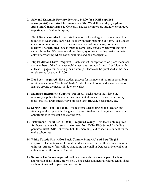- 7. **Solo and Ensemble Fee (\$10.00 entry, \$40.00 for a KHS supplied accompanist) – required for members of the Wind Ensemble, Symphonic Band and Concert Band I.** Concert II and III members are strongly encouraged to participate. Paid in the spring.
- 8. **Black Socks required.** Each student (except for colorguard members) will be required to wear solid, dark black socks with their marching uniform. Socks must come to mid-calf or knee. No designs or shades of gray or any color besides black will be permitted. Socks must be completely opaque when worn (no skin shows through). We recommend the cheap, nylon socks as they maintain their color after washing where cotton will fade and be unacceptable.
- 9. **Flip Folder and Lyre - required.** Each student (except for color guard members and members of the front ensemble) must have a standard music flip folder with at least 10 pages for marching music storage. These can be purchased at the local music stores for under \$10.00.
- 10. **Dot Book - required.** Each student (except for members of the front ensemble) must have a correct "dot book" (4x6, 50 sheet, spiral bound index cards worn on a lanyard around the neck, shoulder, or waist).
- 11. **Standard Instrument Supplies - required.** Each student must have the necessary supplies for his or her instrument at all times. This includes **quality** reeds, mallets, drum sticks, valve oil, flag tape, BLACK neck straps, etc.
- 12. **Spring Band Trip optional.** This fee varies depending on the location and itinerary of the trip which changes each year. Students will be given fundraising opportunities to offset the cost of the trip.
- 13. **Instrument Rental Fee (\$100.00) required yearly.** This fee is only required for those students who rent an instrument from Keller High School (including percussionists). \$100.00 covers both the marching and concert instrument for the entire school year.
- 14. **White Tuxedo Shirt (\$20) Black Cummerbund (\$6) and Bow-Tie (\$2 – required.** These items are for male students and are part of their concert season uniform. An order form will be sent home via email in October or November in anticipation of the Winter Concert.
- 15. **Summer Uniform required.** All band students must own a pair of school appropriate khaki shorts, brown belt, white socks, and neutral colored tennis shoes as these items make up our summer uniform.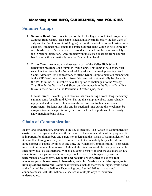#### Marching Band INFO, GUIDELINES, and POLICIES

### **Summer Camps**

- 1. **Summer Band Camp:** A vital part of the Keller High School Band program is Summer Band Camp. This camp is held annually (traditionally the last week of July and the first few weeks of August) before the start of the school instructional calendar. Students must attend the entire Summer Band Camp to be eligible for membership in the Varsity band. Excused absences from the camp are solely at the Directors' discretion. Any student with unexcused absences from summer band camp will automatically join the JV marching band.
- 2. **Drum Camp:** An integral and necessary part of the Keller High School percussion program is the Summer Drum Camp. This camp is held every year (which is traditionally the 3rd week of July) during the week preceding Band Camp. Although it is not necessary to attend Drum Camp to maintain membership in the KHS band, anyone who misses this camp will automatically be placed in the JV Drumline. All members have the option to challenge into the Varsity Drumline for the Varsity Band Show, but admittance into the Varsity Drumline Show is based solely on the Percussion Director's judgment.
- 3. **Guard Camp:** The color guard meets on its own during a week–long mandatory summer camp (usually mid-July). During this camp, members learn valuable equipment and movement fundamentals that are vital to their success as performers. Students that miss any instructional time during this week may be assigned to alternate positions by the director for all or portions of the varsity show marching band show.

### **Chain of Communication**

In any large organization, structure is the key to success. The "Chain of Communication" exists to help everyone understand the structure of the administration of the program. It is important for all members and parents to understand the "Chain of Communication" as it is in effect throughout the year. However, due to the incredibly busy schedule and large number of people involved at one time, the "Chain of Communication" is especially important during marching season. Although the directors would be happy to deal with each individual's issues personally, they could not possibly answer the questions of 400 students and their parents each time they should arise. This is especially true on performance or event days. **Students and parents are expected to use this tool whenever possible to convey information, seek clarification on certain topics, or to have questions answered.** Additional resources include the website, signs, white board at the front of the band hall, our Facebook group, Remind 101 texts, and aural announcements. All information is dispersed in multiple ways to maximize understanding.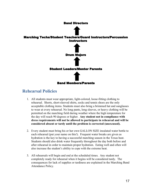

### **Rehearsal Policies**

- 1. All students must wear appropriate, light-colored, loose-fitting clothing to rehearsal. Shorts, short-sleeved shirts, socks and tennis shoes are the only acceptable clothing items. Students must also bring a brimmed hat and sunglasses to wear at every rehearsal. No long pants, long sleeves, or heavy clothing will be permitted on the marching field during weather where the high temperature for the day will reach 90 degrees or higher. **Any student not in compliance with dress requirements will not be allowed to participate in rehearsal and will be considered absent or tardy until the problem is corrected (unexcused).**
- 2. Every student must bring his or her own GALLON SIZE insulated water bottle to each rehearsal (put your name on this!). Frequent water breaks are given as hydration is the key to having a successful marching season in the Texas heat. Students should also drink water frequently throughout the day both before and after rehearsal in order to maintain proper hydration. Eating well and often will also increase the student's ability to cope with the extreme heat.
- 3. All rehearsals will begin and end at the scheduled times. Any student not completely ready for rehearsal when it begins will be considered tardy. The consequences for lack of supplies or tardiness are explained in the Marching Band Attendance Policy.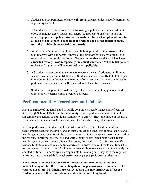- 4. Students are not permitted to leave early from rehearsal unless specific permission is given by a director.
- 5. All students are required to have the following supplies at each rehearsal: dot book, pencil, necessary music, drill charts (if applicable), instrument and all related equipment/supplies. **Students who do not have all supplies will not be allowed to participate in rehearsal and will be considered absent or tardy until the problem is corrected (unexcused).**
- 6. In the event of extreme heat, heavy rain, lightning or other circumstances that may interfere with our normal rehearsal, the directors have many options, and rehearsal will almost always go on. **Never assume that a rehearsal has been cancelled for any reason, especially inclement weather.** \*\*\*The KISD policies on heat and lightning will be observed when applicable.
- 7. All students are expected to demonstrate correct rehearsal etiquette at all times when rehearsing with the KHS Band. Students who consistently talk, fail to pay attention, or disrupt/prevent the learning of other students will not be allowed to participate in rehearsal and will be considered absent (unexcused).
- 8. Students are not permitted to drive any vehicle to the marching practice field unless specific permission is given by a director.

### **Performance Day Procedures and Policies**

Any appearance of the KHS Band in public constitutes a performance and reflects on Keller High School, KISD, and the community. It is important to remember that the appearance and actions of individual members will directly affect the image of the KHS Band, and all members should strive to project a favorable image at all times.

For any performance, students will be notified of a "call time", location, uniform requirements, required materials, and an approximate end time. For football games and marching contests, students will be expected to report to the pre-performance rehearsal in the rehearsal uniform (designated band shirt, athletic shorts, black band socks, black marching shoes, correct hair styling and at times, the band shako.) It is the student's responsibility to plan and manage time correctly in order to be on time to call time (it is recommended that you arrive 15 minutes before call time to ensure that you are ready and counted on time). Students are also responsible for making sure they have the required uniform parts and materials for each performance (or pre-performance rehearsal).

**Any student who does not have all of the correct uniform parts or required materials may not be allowed to participate in the performance. Students will be counted absent until problems are corrected and this may negatively affect the student's grade in their band class or status in the marching band.**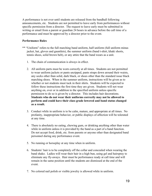A performance is not over until students are released from the bandhall following announcements, etc. Students are not permitted to leave early from performances without specific permission from a director. The request to leave early must be submitted in writing or email from a parent or guardian 24 hours in advance before the call time of a performance and must be approved by a director prior to the event.

#### **Performance Rules**

- \*\* "Uniform" refers to the full marching band uniform, half uniform (full uniform minus jacket, hat, gloves and gauntlets), the summer uniform (band t-shirt, khaki shorts, tennis shoes, solid brown belt), or any attire that the band wears as a unit.
	- 1. The chain of communication is always in effect.
	- 2. All uniform parts must be worn correctly at all times. Students are not permitted to wear uniform jackets or pants unzipped, pants straps down around their waists, any socks other than solid, dark black, or shoes other than the standard issue black marching shoes. When in the summer uniform, instructions will be given as to whether or not students must tuck in their shirts. Students will be expected to follow these instructions the first time they are given. Students will not wear anything on, over or in addition to the specified uniform unless specific permission to do so is given by a director. This includes hair decorations. **Students who do not wear their uniforms correctly may not be allowed to perform and could have their class grade lowered and band status changed as a result.**
	- 3. Conduct while in uniform is to be calm, mature, and appropriate at all times. No profanity, inappropriate behavior, or public displays of affection will be tolerated at any time.
	- 4. There is absolutely no eating, chewing gum, or drinking anything other than water while in uniform unless it is provided by the band as a part of a band function. Do not accept food, drink, etc. from parents or anyone other than designated band personnel during any performance event.
	- 5. No running or horseplay at any time when in uniform.
	- 6. Students' hair is to be completely off the collar and concealed when wearing the band shako. Ladies will wear their hair in a high bun, using gel and hairspray to eliminate any fly-aways. Hair must be performance ready at call time and will remain in the same position until the students are dismissed at the end of the event.
	- 7. No colored nail polish or visible jewelry is allowed while in uniform.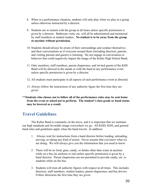- 8. When in a performance situation, students will only play when we play as a group unless otherwise instructed by a director.
- 9. Students are to remain with the group at all times unless specific permission is given by a director. Bathroom visits, etc. will all be administered and monitored by staff members or student leaders. **No student is to be away from the group at anytime without permission.**
- 10. Students should always be aware of their surroundings and conduct themselves and their conversations as if everyone around them (including directors, parents, and visiting parents and guests) is listening. Do not engage in conversation or behavior that could negatively impact the image of the Keller High School Band.
- 11. Only members, staff members, parent chaperones, and invited guests of the KHS Band will be allowed in the stands or with the band at any performance event unless specific permission is given by a director.
- 12. All students must participate in all aspects of each performance event as directed.
- 13. Always follow the instructions of any authority figure the first time they are given.
- **\*\*Students who choose not to follow all of the performance rules may be sent home from the event or asked not to perform. The student's class grade or band status may be lowered as a result.**

### **Travel Guidelines**

The Keller Band is constantly on the move, and it is important that we maintain our high standards and favorable image everywhere we go. All KISD, KHS, and general band rules and guidelines apply when the band travels. In addition:

- 1. Always wait for instructions from a band director before loading, unloading, moving, or taking any kind of action. Never assume that you know what we are doing. We will always give you the information that you need to know.
- 2. There will be no food, gum, candy, or drinks other than water at anytime while on a bus (in uniform or out) unless specific permission is given by a band director. Parent chaperones are not permitted to provide candy, etc. to students while on the bus.
- 3. Students will treat all authority figures with respect at all times. This includes directors, staff members, student leaders, parent chaperones, and bus drivers. Follow directions the first time they are given.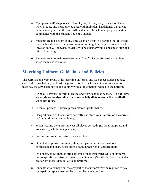- 4. Mp3 players, iPods, phones, video players, etc. may only be used on the bus when in route and must only be used with individual headphones that are not audible to anyone but the user. All media must be school appropriate and in compliance with the Student Code of Conduct.
- 5. Students are to be silent at any time when on a bus in a parking lot. It is vital that the bus drivers are able to communicate to get our large caravan to each location safely. Likewise, students will be silent any time a bus must stop at a railroad crossing.
- 6. Students are to remain seated (on your "seat"), facing forward at any time when the bus is in motion.

### **Marching Uniform Guidelines and Policies**

The KHS Band is very proud of its marching uniforms, and we expect students to take care of them so that they will last for years to come. Each student who uses a uniform must pay the \$30 cleaning fee and comply with all instructions related to the uniform.

- 1. Bring all personal uniform pieces to and from school as needed. **Do not leave socks, shoes, t-shirts, shorts, etc. (especially dirty ones) in the bandhall when not in use.**
- 2. Clean all personal uniform pieces between performances.
- 3. Hang all pieces of the uniform correctly and store your uniform on the correct rack at all times when not in use.
- 4. When wearing the uniform, wear all pieces correctly (no pants straps around your waist, jackets unzipped, etc.).
- 5. Follow uniform crew instructions at all times.
- 6. Do not attempt to clean, wash, alter, or repair your uniform without permission and instructions from a band director or a "uniform mom".
- 7. Do not eat, chew gum, or drink anything other than water while in uniform unless specific permission is given by a director. (See the Performance Rules section for more "don'ts" while in uniform.)
- 8. Students who damage or lose any part of the uniform may be required to pay for repair or replacement of the part or the whole uniform.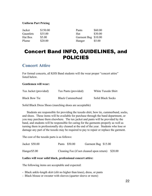#### **Uniform Part Pricing**

| Jacket    | \$150.00 | Pants               | \$60.00 |
|-----------|----------|---------------------|---------|
| Gauntlets | \$35.00  | Hat                 | \$30.00 |
| Hat Box   | \$5.00   | Garment Bag \$10.00 |         |
| Plume     | \$20.00  | Hanger              | \$5.00  |

# Concert Band INFO, GUIDELINES, and POLICIES

#### **Concert Attire**

For formal concerts, all KHS Band students will the wear proper "concert attire" listed below.

#### **Gentlemen will wear:**

| Tux Jacket (provided) | Tux Pants (provided)    | White Tuxedo Shirt       |
|-----------------------|-------------------------|--------------------------|
| <b>Black Bow Tie</b>  | <b>Black Cummerbund</b> | <b>Solid Black Socks</b> |

Solid Black Dress Shoes (marching shoes are acceptable)

Students are responsible for providing the tuxedo shirt, bow tie, cummerbund, socks, and shoes. These items will be available for purchase through the band department, or you may purchase them elsewhere. The tux jacket and pants will be provided by the band, and students will be responsible for caring for the garments properly as well as turning them in professionally dry cleaned at the end of the year. Students who lose or damage any part of the tuxedo may be required to pay to repair or replace the garment.

The cost of the tuxedo parts is as follows:

| Jacket \$50.00 | Pants \$50.00                                     | Garment Bag \$15.00 |  |
|----------------|---------------------------------------------------|---------------------|--|
| Hanger \$5.00  | Cleaning Fee (if not cleaned upon return) \$20.00 |                     |  |

#### **Ladies will wear solid black, professional concert attire:**

The following items are acceptable and expected:

- Black ankle-length skirt (slit no higher than knee), dress, or pants
- Black blouse or sweater with sleeves (quarter sleeve or more)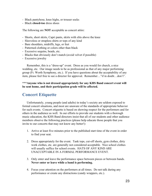- Black pantyhose, knee highs, or trouser socks
- Black **closed-toe** dress shoes

The following are **NOT** acceptable as concert attire:

- Shorts, short skirts, Capri pants, skirts with slits above the knee
- Sleeveless or strapless shirts or tops of any kind
- Bare shoulders, midriffs, legs, or feet
- Patterned clothing or colors other than black
- Excessive sequins, beads, etc.
- Blacks that obviously don't match (avoid velvet if possible)
- Excessive jewelry

Remember, this is a "dress-up" event. Dress as you would for church, a nice wedding, etc. Our image needs to be as professional as that of any major performing group (Ft. Worth Symphony, etc.). If you have questions about the acceptability of any item, please feel free to see a director for approval. Remember…"if in doubt…don't".

**\*\*\*Anyone who is not dressed appropriately for any KHS Band concert event will be sent home, and their participation grade will be affected.**

#### **Concert Etiquette**

Unfortunately, young people (and adults) in today's society are seldom exposed to formal concert situations, and most are unaware of the standards of appropriate behavior for such events. Concert etiquette is based on showing respect for the performers and for others in the audience as well. In our efforts to provide our students with a thorough music education, the KHS Band directors insist that all of our students and other audience members observe the following practices (please help educate those people that you invite to our concerts that may not know any better!):

- 1. Arrive at least five minutes prior to the published start time of the event in order to find your seat.
- 2. Dress appropriately for the event. Tank tops, cut-off shorts, gym clothes, dirty work clothes, etc. are generally not considered acceptable. Nice school clothes will usually suffice for school events. HATS OF ANY KIND ARE UNACCEPTABLE IN A FORMAL PERFORMANCE EVENT.
- 3. Only enter and leave the performance space between pieces or between bands. **Never enter or leave while a band is performing.**
- 4. Focus your attention on the performers at all times. Do not talk during any performance or create any distractions (candy wrappers, etc.).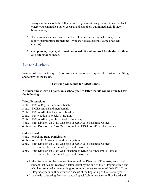- 5. Noisy children should be left at home. If you must bring them, sit near the back where you can make a quick escape, and take them out immediately if they become noisy.
- 6. Applause is welcomed and expected. However, cheering, whistling, etc. are highly inappropriate (remember...you are not at a baseball game or a rock concert).
- 7. **Cell phones, pagers, etc. must be turned off and not used inside the call time or performance space.**

### **Letter Jackets**

Families of students that qualify to earn a letter jacket are responsible to attend the fitting and to pay for the jacket.

#### **Lettering Guidelines for KISD Bands**

#### **A student must earn 10 points in a school year to letter. Points will be awarded for the following:**

#### **Wind/Percussion:**

- 4 pts. TMEA Region Band membership
- 3 pts. TMEA Area Band membership
- 2 pts. TMEA All State Band membership
- 2 pts. Participation in Mock All Region
- 2 pts. TMEA All Region Jazz Band membership
- 4 pts. First Division on Class One Solo at KISD Solo/Ensemble Contest
- 4 pts. First Division on Class One Ensemble at KISD Solo/Ensemble Contest

#### **Color Guard:**

- 4 pts. Marching Band Participation
- 4 pts. WGI/NTCA Winter Guard Participation
- 2 pts. First Division on Class One Solo at KISD Solo/Ensemble Contest (Class will be determined by Guard Instructor)
- 2 pts. First Division on Class One Ensemble at KISD Solo/Ensemble Contest (Class will be determined by Guard Instructor)
	- At the discretion of the campus director and the Director of Fine Arts, each band student that has not received a letter jacket by the end of their  $11<sup>th</sup>$  grade year, and who has remained a member in good standing every semester of their  $9<sup>th</sup>$ ,  $10<sup>th</sup>$  and 11<sup>th</sup> grade years, will be awarded a jacket at the beginning of their senior year.
	- All appeals to lettering decisions, and all special circumstances, will be heard and